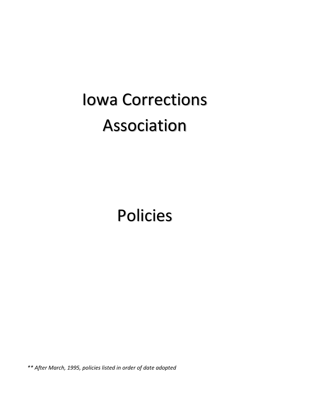# Iowa Corrections Association

Policies

*\*\* After March, 1995, policies listed in order of date adopted*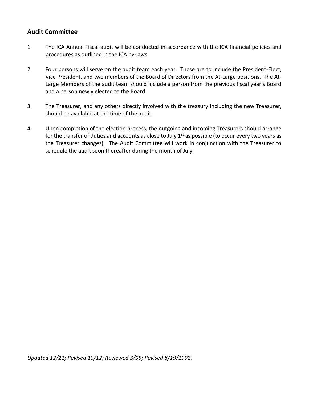#### **Audit Committee**

- 1. The ICA Annual Fiscal audit will be conducted in accordance with the ICA financial policies and procedures as outlined in the ICA by-laws.
- 2. Four persons will serve on the audit team each year. These are to include the President-Elect, Vice President, and two members of the Board of Directors from the At-Large positions. The At-Large Members of the audit team should include a person from the previous fiscal year's Board and a person newly elected to the Board.
- 3. The Treasurer, and any others directly involved with the treasury including the new Treasurer, should be available at the time of the audit.
- 4. Upon completion of the election process, the outgoing and incoming Treasurers should arrange for the transfer of duties and accounts as close to July  $1<sup>st</sup>$  as possible (to occur every two years as the Treasurer changes). The Audit Committee will work in conjunction with the Treasurer to schedule the audit soon thereafter during the month of July.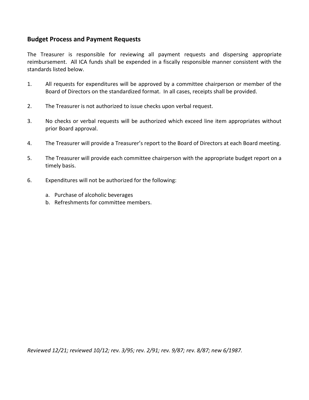#### **Budget Process and Payment Requests**

The Treasurer is responsible for reviewing all payment requests and dispersing appropriate reimbursement. All ICA funds shall be expended in a fiscally responsible manner consistent with the standards listed below.

- 1. All requests for expenditures will be approved by a committee chairperson or member of the Board of Directors on the standardized format. In all cases, receipts shall be provided.
- 2. The Treasurer is not authorized to issue checks upon verbal request.
- 3. No checks or verbal requests will be authorized which exceed line item appropriates without prior Board approval.
- 4. The Treasurer will provide a Treasurer's report to the Board of Directors at each Board meeting.
- 5. The Treasurer will provide each committee chairperson with the appropriate budget report on a timely basis.
- 6. Expenditures will not be authorized for the following:
	- a. Purchase of alcoholic beverages
	- b. Refreshments for committee members.

*Reviewed 12/21; reviewed 10/12; rev. 3/95; rev. 2/91; rev. 9/87; rev. 8/87; new 6/1987.*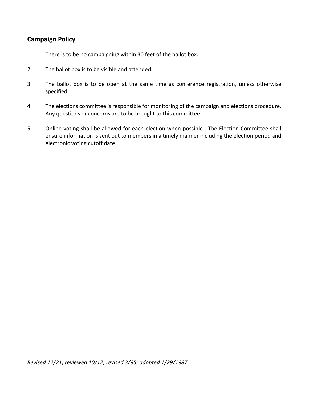## **Campaign Policy**

- 1. There is to be no campaigning within 30 feet of the ballot box.
- 2. The ballot box is to be visible and attended.
- 3. The ballot box is to be open at the same time as conference registration, unless otherwise specified.
- 4. The elections committee is responsible for monitoring of the campaign and elections procedure. Any questions or concerns are to be brought to this committee.
- 5. Online voting shall be allowed for each election when possible. The Election Committee shall ensure information is sent out to members in a timely manner including the election period and electronic voting cutoff date.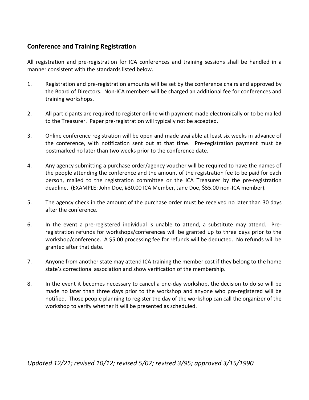# **Conference and Training Registration**

All registration and pre-registration for ICA conferences and training sessions shall be handled in a manner consistent with the standards listed below.

- 1. Registration and pre-registration amounts will be set by the conference chairs and approved by the Board of Directors. Non-ICA members will be charged an additional fee for conferences and training workshops.
- 2. All participants are required to register online with payment made electronically or to be mailed to the Treasurer. Paper pre-registration will typically not be accepted.
- 3. Online conference registration will be open and made available at least six weeks in advance of the conference, with notification sent out at that time. Pre-registration payment must be postmarked no later than two weeks prior to the conference date.
- 4. Any agency submitting a purchase order/agency voucher will be required to have the names of the people attending the conference and the amount of the registration fee to be paid for each person, mailed to the registration committee or the ICA Treasurer by the pre-registration deadline. (EXAMPLE: John Doe, #30.00 ICA Member, Jane Doe, \$55.00 non-ICA member).
- 5. The agency check in the amount of the purchase order must be received no later than 30 days after the conference.
- 6. In the event a pre-registered individual is unable to attend, a substitute may attend. Preregistration refunds for workshops/conferences will be granted up to three days prior to the workshop/conference. A \$5.00 processing fee for refunds will be deducted. No refunds will be granted after that date.
- 7. Anyone from another state may attend ICA training the member cost if they belong to the home state's correctional association and show verification of the membership.
- 8. In the event it becomes necessary to cancel a one-day workshop, the decision to do so will be made no later than three days prior to the workshop and anyone who pre-registered will be notified. Those people planning to register the day of the workshop can call the organizer of the workshop to verify whether it will be presented as scheduled.

*Updated 12/21; revised 10/12; revised 5/07; revised 3/95; approved 3/15/1990*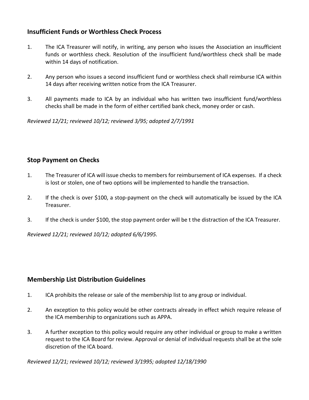## **Insufficient Funds or Worthless Check Process**

- 1. The ICA Treasurer will notify, in writing, any person who issues the Association an insufficient funds or worthless check. Resolution of the insufficient fund/worthless check shall be made within 14 days of notification.
- 2. Any person who issues a second insufficient fund or worthless check shall reimburse ICA within 14 days after receiving written notice from the ICA Treasurer.
- 3. All payments made to ICA by an individual who has written two insufficient fund/worthless checks shall be made in the form of either certified bank check, money order or cash.

*Reviewed 12/21; reviewed 10/12; reviewed 3/95; adopted 2/7/1991*

# **Stop Payment on Checks**

- 1. The Treasurer of ICA will issue checks to members for reimbursement of ICA expenses. If a check is lost or stolen, one of two options will be implemented to handle the transaction.
- 2. If the check is over \$100, a stop-payment on the check will automatically be issued by the ICA Treasurer.
- 3. If the check is under \$100, the stop payment order will be t the distraction of the ICA Treasurer.

*Reviewed 12/21; reviewed 10/12; adopted 6/6/1995.*

## **Membership List Distribution Guidelines**

- 1. ICA prohibits the release or sale of the membership list to any group or individual.
- 2. An exception to this policy would be other contracts already in effect which require release of the ICA membership to organizations such as APPA.
- 3. A further exception to this policy would require any other individual or group to make a written request to the ICA Board for review. Approval or denial of individual requests shall be at the sole discretion of the ICA board.

*Reviewed 12/21; reviewed 10/12; reviewed 3/1995; adopted 12/18/1990*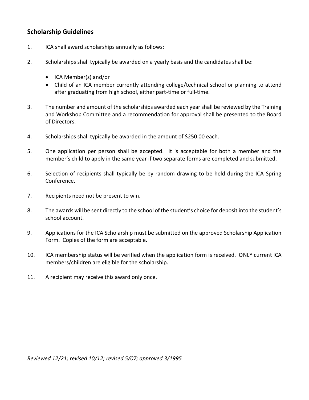## **Scholarship Guidelines**

- 1. ICA shall award scholarships annually as follows:
- 2. Scholarships shall typically be awarded on a yearly basis and the candidates shall be:
	- ICA Member(s) and/or
	- Child of an ICA member currently attending college/technical school or planning to attend after graduating from high school, either part-time or full-time.
- 3. The number and amount of the scholarships awarded each year shall be reviewed by the Training and Workshop Committee and a recommendation for approval shall be presented to the Board of Directors.
- 4. Scholarships shall typically be awarded in the amount of \$250.00 each.
- 5. One application per person shall be accepted. It is acceptable for both a member and the member's child to apply in the same year if two separate forms are completed and submitted.
- 6. Selection of recipients shall typically be by random drawing to be held during the ICA Spring Conference.
- 7. Recipients need not be present to win.
- 8. The awards will be sent directly to the school of the student's choice for deposit into the student's school account.
- 9. Applications for the ICA Scholarship must be submitted on the approved Scholarship Application Form. Copies of the form are acceptable.
- 10. ICA membership status will be verified when the application form is received. ONLY current ICA members/children are eligible for the scholarship.
- 11. A recipient may receive this award only once.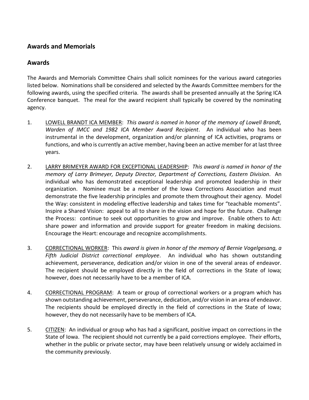## **Awards and Memorials**

#### **Awards**

The Awards and Memorials Committee Chairs shall solicit nominees for the various award categories listed below. Nominations shall be considered and selected by the Awards Committee members for the following awards, using the specified criteria. The awards shall be presented annually at the Spring ICA Conference banquet. The meal for the award recipient shall typically be covered by the nominating agency.

- 1. LOWELL BRANDT ICA MEMBER: *This award is named in honor of the memory of Lowell Brandt, Warden of IMCC and 1982 ICA Member Award Recipient*. An individual who has been instrumental in the development, organization and/or planning of ICA activities, programs or functions, and who is currently an active member, having been an active member for at last three years.
- 2. LARRY BRIMEYER AWARD FOR EXCEPTIONAL LEADERSHIP: *This award is named in honor of the memory of Larry Brimeyer, Deputy Director, Department of Corrections, Eastern Division*. An individual who has demonstrated exceptional leadership and promoted leadership in their organization. Nominee must be a member of the Iowa Corrections Association and must demonstrate the five leadership principles and promote them throughout their agency. Model the Way: consistent in modeling effective leadership and takes time for "teachable moments". Inspire a Shared Vision: appeal to all to share in the vision and hope for the future. Challenge the Process: continue to seek out opportunities to grow and improve. Enable others to Act: share power and information and provide support for greater freedom in making decisions. Encourage the Heart: encourage and recognize accomplishments.
- 3. CORRECTIONAL WORKER: This *award is given in honor of the memory of Bernie Vogelgesang, a Fifth Judicial District correctional employee*. An individual who has shown outstanding achievement, perseverance, dedication and/or vision in one of the several areas of endeavor. The recipient should be employed directly in the field of corrections in the State of Iowa; however, does not necessarily have to be a member of ICA.
- 4. CORRECTIONAL PROGRAM: A team or group of correctional workers or a program which has shown outstanding achievement, perseverance, dedication, and/or vision in an area of endeavor. The recipients should be employed directly in the field of corrections in the State of Iowa; however, they do not necessarily have to be members of ICA.
- 5. CITIZEN: An individual or group who has had a significant, positive impact on corrections in the State of Iowa. The recipient should not currently be a paid corrections employee. Their efforts, whether in the public or private sector, may have been relatively unsung or widely acclaimed in the community previously.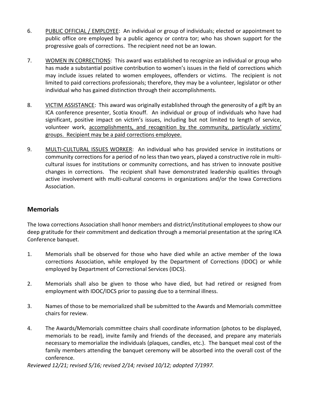- 6. PUBLIC OFFICIAL / EMPLOYEE: An individual or group of individuals; elected or appointment to public office ore employed by a public agency or contra tor; who has shown support for the progressive goals of corrections. The recipient need not be an Iowan.
- 7. WOMEN IN CORRECTIONS: This award was established to recognize an individual or group who has made a substantial positive contribution to women's issues in the field of corrections which may include issues related to women employees, offenders or victims. The recipient is not limited to paid corrections professionals; therefore, they may be a volunteer, legislator or other individual who has gained distinction through their accomplishments.
- 8. VICTIM ASSISTANCE: This award was originally established through the generosity of a gift by an ICA conference presenter, Scotia Knouff. An individual or group of individuals who have had significant, positive impact on victim's issues, including but not limited to length of service, volunteer work, accomplishments, and recognition by the community, particularly victims' groups. Recipient may be a paid corrections employee.
- 9. MULTI-CULTURAL ISSUES WORKER: An individual who has provided service in institutions or community corrections for a period of no less than two years, played a constructive role in multicultural issues for institutions or community corrections, and has striven to innovate positive changes in corrections. The recipient shall have demonstrated leadership qualities through active involvement with multi-cultural concerns in organizations and/or the Iowa Corrections Association.

## **Memorials**

The Iowa corrections Association shall honor members and district/institutional employees to show our deep gratitude for their commitment and dedication through a memorial presentation at the spring ICA Conference banquet.

- 1. Memorials shall be observed for those who have died while an active member of the Iowa corrections Association, while employed by the Department of Corrections (IDOC) or while employed by Department of Correctional Services (IDCS).
- 2. Memorials shall also be given to those who have died, but had retired or resigned from employment with IDOC/IDCS prior to passing due to a terminal illness.
- 3. Names of those to be memorialized shall be submitted to the Awards and Memorials committee chairs for review.
- 4. The Awards/Memorials committee chairs shall coordinate information (photos to be displayed, memorials to be read), invite family and friends of the deceased, and prepare any materials necessary to memorialize the individuals (plaques, candles, etc.). The banquet meal cost of the family members attending the banquet ceremony will be absorbed into the overall cost of the conference.

*Reviewed 12/21; revised 5/16; revised 2/14; revised 10/12; adopted 7/1997.*